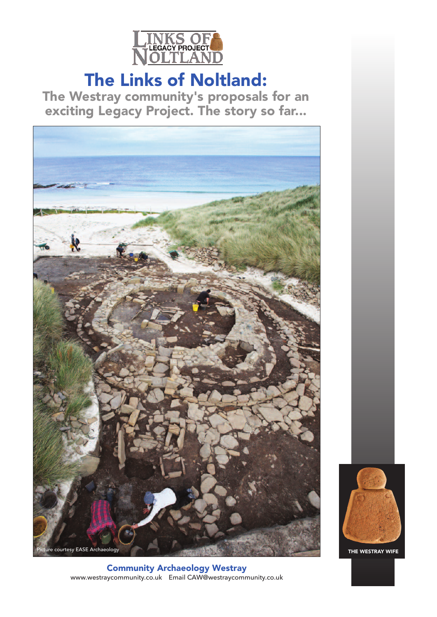

# The Links of Noltland:

The Westray community's proposals for an exciting Legacy Project. The story so far...



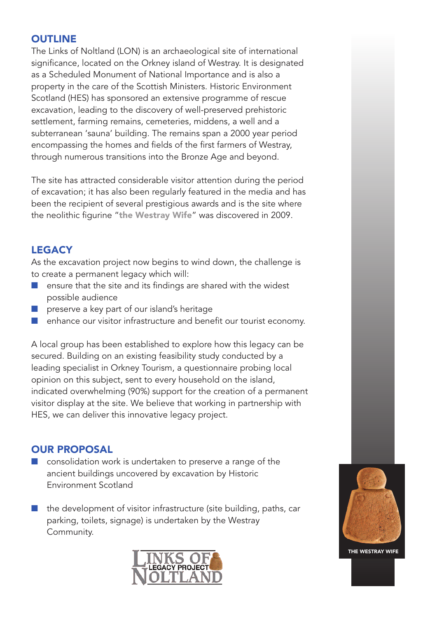## **OUTLINE**

The Links of Noltland (LON) is an archaeological site of international significance, located on the Orkney island of Westray. It is designated as a Scheduled Monument of National Importance and is also a property in the care of the Scottish Ministers. Historic Environment Scotland (HES) has sponsored an extensive programme of rescue excavation, leading to the discovery of well-preserved prehistoric settlement, farming remains, cemeteries, middens, a well and a subterranean 'sauna' building. The remains span a 2000 year period encompassing the homes and fields of the first farmers of Westray, through numerous transitions into the Bronze Age and beyond.

The site has attracted considerable visitor attention during the period of excavation; it has also been regularly featured in the media and has been the recipient of several prestigious awards and is the site where the neolithic figurine "the Westray Wife" was discovered in 2009.

# **LEGACY**

As the excavation project now begins to wind down, the challenge is to create a permanent legacy which will:

- n ensure that the site and its findings are shared with the widest possible audience
- $\blacksquare$  preserve a key part of our island's heritage
- enhance our visitor infrastructure and benefit our tourist economy.

A local group has been established to explore how this legacy can be secured. Building on an existing feasibility study conducted by a leading specialist in Orkney Tourism, a questionnaire probing local opinion on this subject, sent to every household on the island, indicated overwhelming (90%) support for the creation of a permanent visitor display at the site. We believe that working in partnership with HES, we can deliver this innovative legacy project.

## OUR PROPOSAL

- consolidation work is undertaken to preserve a range of the ancient buildings uncovered by excavation by Historic Environment Scotland
- the development of visitor infrastructure (site building, paths, car parking, toilets, signage) is undertaken by the Westray Community.



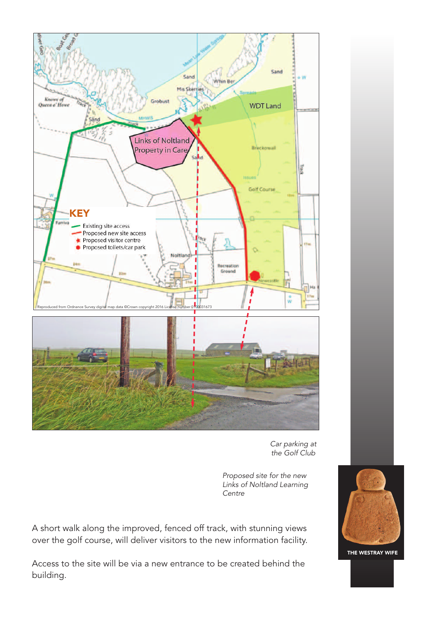

*Car parking at the Golf Club*

*Proposed site for the new Links of Noltland Learning Centre*

A short walk along the improved, fenced off track, with stunning views over the golf course, will deliver visitors to the new information facility.

Access to the site will be via a new entrance to be created behind the building.

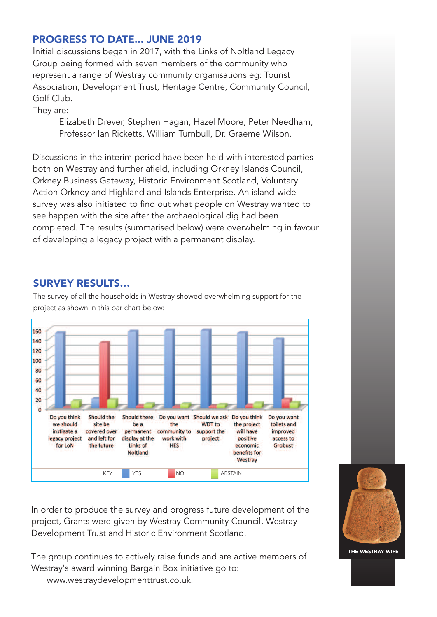#### PROGRESS TO DATE... JUNE 2019

Initial discussions began in 2017, with the Links of Noltland Legacy Group being formed with seven members of the community who represent a range of Westray community organisations eg: Tourist Association, Development Trust, Heritage Centre, Community Council, Golf Club.

They are:

Elizabeth Drever, Stephen Hagan, Hazel Moore, Peter Needham, Professor Ian Ricketts, William Turnbull, Dr. Graeme Wilson.

Discussions in the interim period have been held with interested parties both on Westray and further afield, including Orkney Islands Council, Orkney Business Gateway, Historic Environment Scotland, Voluntary Action Orkney and Highland and Islands Enterprise. An island-wide survey was also initiated to find out what people on Westray wanted to see happen with the site after the archaeological dig had been completed. The results (summarised below) were overwhelming in favour of developing a legacy project with a permanent display.

### SURVEY RESULTS…

The survey of all the households in Westray showed overwhelming support for the project as shown in this bar chart below:



In order to produce the survey and progress future development of the project, Grants were given by Westray Community Council, Westray Development Trust and Historic Environment Scotland.

The group continues to actively raise funds and are active members of Westray's award winning Bargain Box initiative go to: www.westraydevelopmenttrust.co.uk.